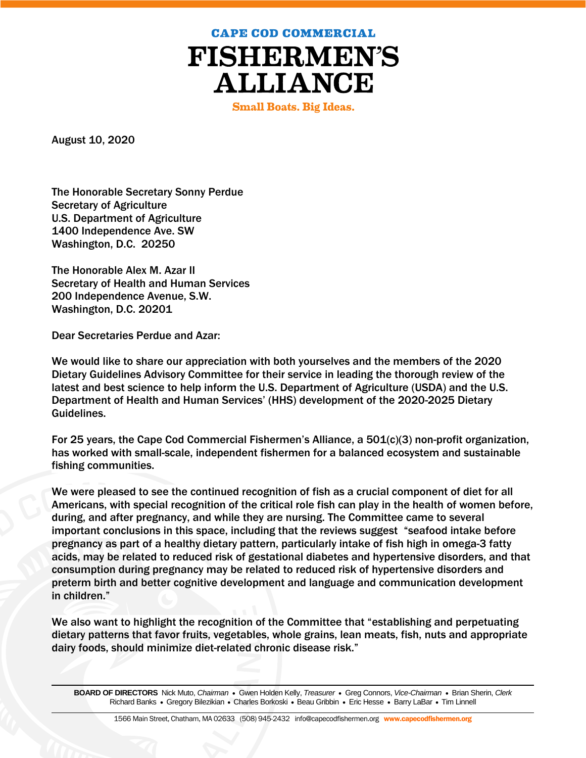**CAPE COD COMMERCIAL** 



**Small Boats. Big Ideas.** 

August 10, 2020

The Honorable Secretary Sonny Perdue Secretary of Agriculture U.S. Department of Agriculture 1400 Independence Ave. SW Washington, D.C. 20250

The Honorable Alex M. Azar II Secretary of Health and Human Services 200 Independence Avenue, S.W. Washington, D.C. 20201

Dear Secretaries Perdue and Azar:

We would like to share our appreciation with both yourselves and the members of the 2020 Dietary Guidelines Advisory Committee for their service in leading the thorough review of the latest and best science to help inform the U.S. Department of Agriculture (USDA) and the U.S. Department of Health and Human Services' (HHS) development of the 2020-2025 Dietary Guidelines.

For 25 years, the Cape Cod Commercial Fishermen's Alliance, a 501(c)(3) non-profit organization, has worked with small-scale, independent fishermen for a balanced ecosystem and sustainable fishing communities.

We were pleased to see the continued recognition of fish as a crucial component of diet for all Americans, with special recognition of the critical role fish can play in the health of women before, during, and after pregnancy, and while they are nursing. The Committee came to several important conclusions in this space, including that the reviews suggest "seafood intake before pregnancy as part of a healthy dietary pattern, particularly intake of fish high in omega-3 fatty acids, may be related to reduced risk of gestational diabetes and hypertensive disorders, and that consumption during pregnancy may be related to reduced risk of hypertensive disorders and preterm birth and better cognitive development and language and communication development in children."

We also want to highlight the recognition of the Committee that "establishing and perpetuating dietary patterns that favor fruits, vegetables, whole grains, lean meats, fish, nuts and appropriate dairy foods, should minimize diet-related chronic disease risk."

**BOARD OF DIRECTORS** Nick Muto, *Chairman* Gwen Holden Kelly, *Treasurer* Greg Connors, *Vice-Chairman* Brian Sherin, *Clerk* Richard Banks • Gregory Bilezikian • Charles Borkoski • Beau Gribbin • Eric Hesse • Barry LaBar • Tim Linnell